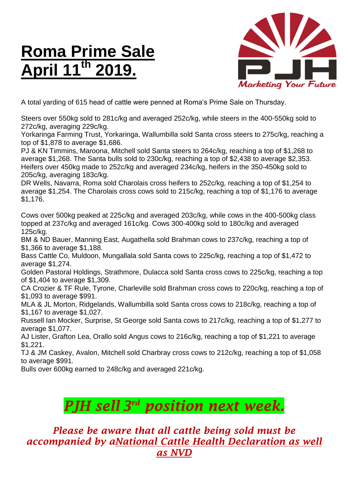## **Roma Prime Sale April 11th 2019.**



A total yarding of 615 head of cattle were penned at Roma's Prime Sale on Thursday.

Steers over 550kg sold to 281c/kg and averaged 252c/kg, while steers in the 400-550kg sold to 272c/kg, averaging 229c/kg.

Yorkaringa Farming Trust, Yorkaringa, Wallumbilla sold Santa cross steers to 275c/kg, reaching a top of \$1,878 to average \$1,686.

PJ & KN Timmins, Maroona, Mitchell sold Santa steers to 264c/kg, reaching a top of \$1,268 to average \$1,268. The Santa bulls sold to 230c/kg, reaching a top of \$2,438 to average \$2,353. Heifers over 450kg made to 252c/kg and averaged 234c/kg, heifers in the 350-450kg sold to 205c/kg, averaging 183c/kg.

DR Wells, Navarra, Roma sold Charolais cross heifers to 252c/kg, reaching a top of \$1,254 to average \$1,254. The Charolais cross cows sold to 215c/kg, reaching a top of \$1,176 to average \$1,176.

Cows over 500kg peaked at 225c/kg and averaged 203c/kg, while cows in the 400-500kg class topped at 237c/kg and averaged 161c/kg. Cows 300-400kg sold to 180c/kg and averaged 125c/kg.

BM & ND Bauer, Manning East, Augathella sold Brahman cows to 237c/kg, reaching a top of \$1,366 to average \$1,188.

Bass Cattle Co, Muldoon, Mungallala sold Santa cows to 225c/kg, reaching a top of \$1,472 to average \$1,274.

Golden Pastoral Holdings, Strathmore, Dulacca sold Santa cross cows to 225c/kg, reaching a top of \$1,404 to average \$1,309.

CA Crozier & TF Rule, Tyrone, Charleville sold Brahman cross cows to 220c/kg, reaching a top of \$1,093 to average \$991.

MLA & JL Morton, Ridgelands, Wallumbilla sold Santa cross cows to 218c/kg, reaching a top of \$1,167 to average \$1,027.

Russell Ian Mocker, Surprise, St George sold Santa cows to 217c/kg, reaching a top of \$1,277 to average \$1,077.

AJ Lister, Grafton Lea, Orallo sold Angus cows to 216c/kg, reaching a top of \$1,221 to average \$1,221.

TJ & JM Caskey, Avalon, Mitchell sold Charbray cross cows to 212c/kg, reaching a top of \$1,058 to average \$991.

Bulls over 600kg earned to 248c/kg and averaged 221c/kg.

## *PJH sell 3 rd position next week.*

## *Please be aware that all cattle being sold must be accompanied by aNational Cattle Health Declaration as well as NVD*